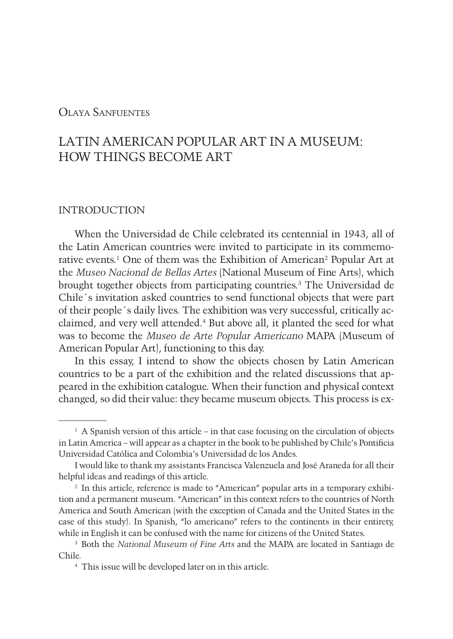## Olaya Sanfuentes

# LATIN AMERICAN POPULAR ART IN A MUSEUM: HOW THINGS BECOME ART

## INTRODUCTION

When the Universidad de Chile celebrated its centennial in 1943, all of the Latin American countries were invited to participate in its commemorative events.<sup>1</sup> One of them was the Exhibition of American<sup>2</sup> Popular Art at the *Museo Nacional de Bellas Artes* (National Museum of Fine Arts), which brought together objects from participating countries.3 The Universidad de Chile´s invitation asked countries to send functional objects that were part of their people´s daily lives. The exhibition was very successful, critically acclaimed, and very well attended.4 But above all, it planted the seed for what was to become the *Museo de Arte Popular Americano* MAPA (Museum of American Popular Art), functioning to this day.

In this essay, I intend to show the objects chosen by Latin American countries to be a part of the exhibition and the related discussions that appeared in the exhibition catalogue. When their function and physical context changed, so did their value: they became museum objects. This process is ex-

 $<sup>1</sup>$  A Spanish version of this article – in that case focusing on the circulation of objects</sup> in Latin America – will appear as a chapter in the book to be published by Chile's Pontificia Universidad Católica and Colombia's Universidad de los Andes.

I would like to thank my assistants Francisca Valenzuela and José Araneda for all their helpful ideas and readings of this article.

<sup>&</sup>lt;sup>2</sup> In this article, reference is made to "American" popular arts in a temporary exhibition and a permanent museum. "American" in this context refers to the countries of North America and South American (with the exception of Canada and the United States in the case of this study). In Spanish, "lo americano" refers to the continents in their entirety, while in English it can be confused with the name for citizens of the United States.

<sup>3</sup> Both the *National Museum of Fine Arts* and the MAPA are located in Santiago de Chile.

<sup>4</sup> This issue will be developed later on in this article.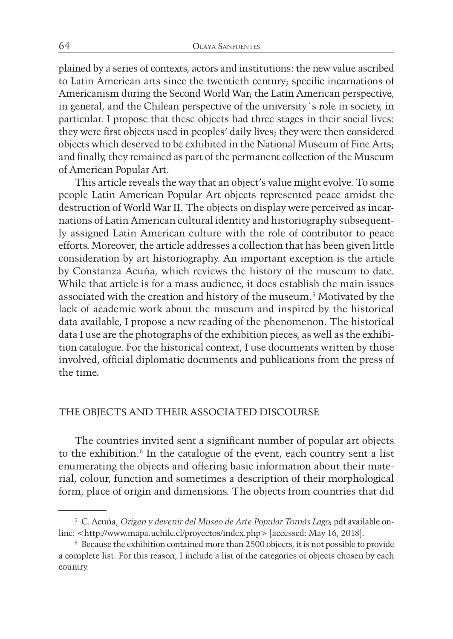plained by a series of contexts, actors and institutions: the new value ascribed to Latin American arts since the twentieth century; specific incarnations of Americanism during the Second World War; the Latin American perspective, in general, and the Chilean perspective of the university´s role in society, in particular. I propose that these objects had three stages in their social lives: they were first objects used in peoples' daily lives; they were then considered objects which deserved to be exhibited in the National Museum of Fine Arts; and finally, they remained as part of the permanent collection of the Museum of American Popular Art.

This article reveals the way that an object's value might evolve. To some people Latin American Popular Art objects represented peace amidst the destruction of World War II. The objects on display were perceived as incarnations of Latin American cultural identity and historiography subsequently assigned Latin American culture with the role of contributor to peace efforts. Moreover, the article addresses a collection that has been given little consideration by art historiography. An important exception is the article by Constanza Acuña, which reviews the history of the museum to date. While that article is for a mass audience, it does establish the main issues associated with the creation and history of the museum.5 Motivated by the lack of academic work about the museum and inspired by the historical data available, I propose a new reading of the phenomenon. The historical data I use are the photographs of the exhibition pieces, as well as the exhibition catalogue. For the historical context, I use documents written by those involved, official diplomatic documents and publications from the press of the time.

#### THE OBJECTS AND THEIR ASSOCIATED DISCOURSE

The countries invited sent a significant number of popular art objects to the exhibition.<sup>6</sup> In the catalogue of the event, each country sent a list enumerating the objects and offering basic information about their material, colour, function and sometimes a description of their morphological form, place of origin and dimensions. The objects from countries that did

<sup>5</sup> C. Acuña, *Origen y devenir del Museo de Arte Popular Tomás Lago*; pdf available online: <http://www.mapa.uchile.cl/proyectos/index.php> [accessed: May 16, 2018].

<sup>6</sup> Because the exhibition contained more than 2500 objects, it is not possible to provide a complete list. For this reason, I include a list of the categories of objects chosen by each country.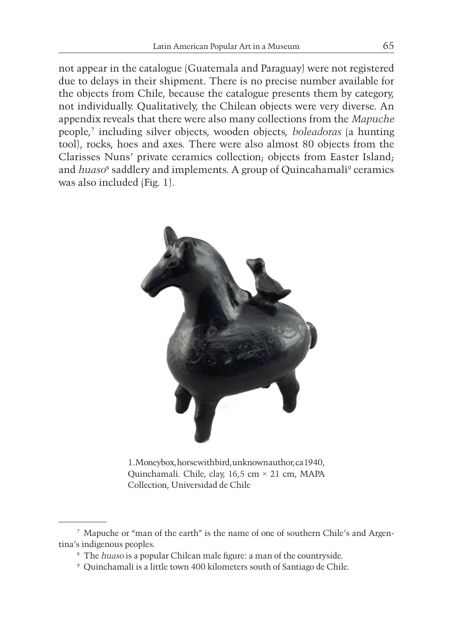not appear in the catalogue (Guatemala and Paraguay) were not registered due to delays in their shipment. There is no precise number available for the objects from Chile, because the catalogue presents them by category, not individually. Qualitatively, the Chilean objects were very diverse. An appendix reveals that there were also many collections from the *Mapuche* people,7 including silver objects, wooden objects, *boleadoras* (a hunting tool), rocks, hoes and axes. There were also almost 80 objects from the Clarisses Nuns' private ceramics collection; objects from Easter Island; and *huaso*<sup>8</sup> saddlery and implements. A group of Quincahamalí<sup>9</sup> ceramics was also included (Fig. 1).



1. Moneybox, horse with bird, unknown author, ca 1940, Quinchamalí. Chile, clay, 16,5 cm × 21 cm, MAPA Collection, Universidad de Chile

<sup>7</sup> Mapuche or "man of the earth" is the name of one of southern Chile's and Argentina's indigenous peoples.

<sup>8</sup> The *huaso* is a popular Chilean male figure: a man of the countryside.

<sup>9</sup> Quinchamalí is a little town 400 kilometers south of Santiago de Chile.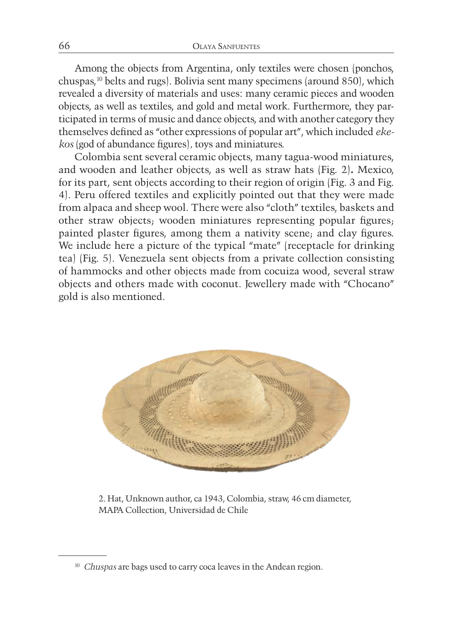Among the objects from Argentina, only textiles were chosen (ponchos, chuspas,10 belts and rugs). Bolivia sent many specimens (around 850), which revealed a diversity of materials and uses: many ceramic pieces and wooden objects, as well as textiles, and gold and metal work. Furthermore, they participated in terms of music and dance objects, and with another category they themselves defined as "other expressions of popular art", which included *ekekos* (god of abundance figures)*,* toys and miniatures.

Colombia sent several ceramic objects, many tagua-wood miniatures, and wooden and leather objects, as well as straw hats (Fig. 2)**.** Mexico, for its part, sent objects according to their region of origin (Fig. 3 and Fig. 4). Peru offered textiles and explicitly pointed out that they were made from alpaca and sheep wool. There were also "cloth" textiles, baskets and other straw objects; wooden miniatures representing popular figures; painted plaster figures, among them a nativity scene; and clay figures. We include here a picture of the typical "mate" (receptacle for drinking tea) (Fig. 5). Venezuela sent objects from a private collection consisting of hammocks and other objects made from cocuiza wood, several straw objects and others made with coconut. Jewellery made with "Chocano" gold is also mentioned.



2. Hat, Unknown author, ca 1943, Colombia, straw, 46 cm diameter, MAPA Collection, Universidad de Chile

<sup>&</sup>lt;sup>10</sup> *Chuspas* are bags used to carry coca leaves in the Andean region.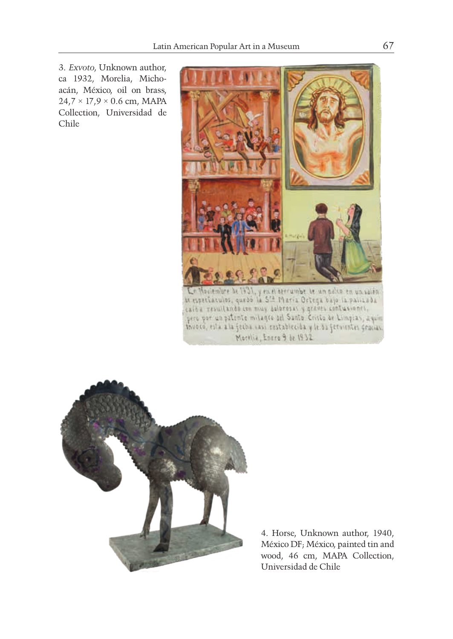3. *Exvoto*, Unknown author, ca 1932, Morelia, Michoacán, México, oil on brass,  $24.7 \times 17.9 \times 0.6$  cm, MAPA Collection, Universidad de Chile





4. Horse, Unknown author, 1940, México DF; México, painted tin and wood, 46 cm, MAPA Collection, Universidad de Chile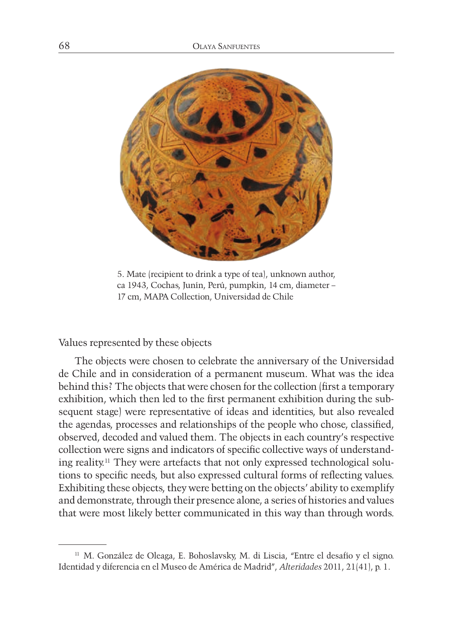

5. Mate (recipient to drink a type of tea), unknown author, ca 1943, Cochas, Junín, Perú, pumpkin, 14 cm, diameter – 17 cm, MAPA Collection, Universidad de Chile

Values represented by these objects

The objects were chosen to celebrate the anniversary of the Universidad de Chile and in consideration of a permanent museum. What was the idea behind this? The objects that were chosen for the collection (first a temporary exhibition, which then led to the first permanent exhibition during the subsequent stage) were representative of ideas and identities, but also revealed the agendas, processes and relationships of the people who chose, classified, observed, decoded and valued them. The objects in each country's respective collection were signs and indicators of specific collective ways of understanding reality.11 They were artefacts that not only expressed technological solutions to specific needs, but also expressed cultural forms of reflecting values. Exhibiting these objects, they were betting on the objects' ability to exemplify and demonstrate, through their presence alone, a series of histories and values that were most likely better communicated in this way than through words.

<sup>11</sup> M. González de Oleaga, E. Bohoslavsky, M. di Liscia, "Entre el desafío y el signo. Identidad y diferencia en el Museo de América de Madrid", *Alteridades* 2011, 21(41), p. 1.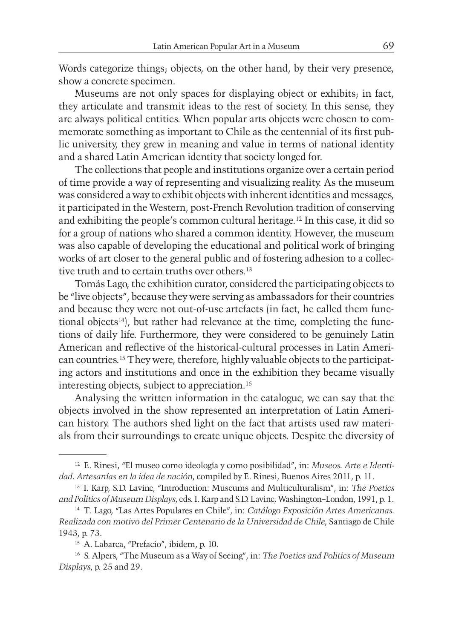Words categorize things; objects, on the other hand, by their very presence, show a concrete specimen.

Museums are not only spaces for displaying object or exhibits; in fact, they articulate and transmit ideas to the rest of society. In this sense, they are always political entities. When popular arts objects were chosen to commemorate something as important to Chile as the centennial of its first public university, they grew in meaning and value in terms of national identity and a shared Latin American identity that society longed for.

The collections that people and institutions organize over a certain period of time provide a way of representing and visualizing reality. As the museum was considered a way to exhibit objects with inherent identities and messages, it participated in the Western, post-French Revolution tradition of conserving and exhibiting the people's common cultural heritage.12 In this case, it did so for a group of nations who shared a common identity. However, the museum was also capable of developing the educational and political work of bringing works of art closer to the general public and of fostering adhesion to a collective truth and to certain truths over others.<sup>13</sup>

Tomás Lago, the exhibition curator, considered the participating objects to be "live objects", because they were serving as ambassadors for their countries and because they were not out-of-use artefacts (in fact, he called them functional objects<sup>14</sup>), but rather had relevance at the time, completing the functions of daily life. Furthermore, they were considered to be genuinely Latin American and reflective of the historical-cultural processes in Latin American countries.15 They were, therefore, highly valuable objects to the participating actors and institutions and once in the exhibition they became visually interesting objects, subject to appreciation.16

Analysing the written information in the catalogue, we can say that the objects involved in the show represented an interpretation of Latin American history. The authors shed light on the fact that artists used raw materials from their surroundings to create unique objects. Despite the diversity of

<sup>12</sup> E. Rinesi, "El museo como ideología y como posibilidad", in: *Museos. Arte e Identidad. Artesanías en la idea de nación*, compiled by E. Rinesi, Buenos Aires 2011, p. 11.

<sup>13</sup> I. Karp, S.D. Lavine, "Introduction: Museums and Multiculturalism", in: *The Poetics and Politics of Museum Displays*, eds. I. Karp and S.D. Lavine, Washington–London, 1991, p. 1.

<sup>14</sup> T. Lago, "Las Artes Populares en Chile", in: *Catálogo Exposición Artes Americanas. Realizada con motivo del Primer Centenario de la Universidad de Chile*, Santiago de Chile 1943, p. 73.

<sup>15</sup> A. Labarca, "Prefacio", ibidem, p. 10.

<sup>16</sup> S. Alpers, "The Museum as a Way of Seeing", in: *The Poetics and Politics of Museum Displays*, p. 25 and 29.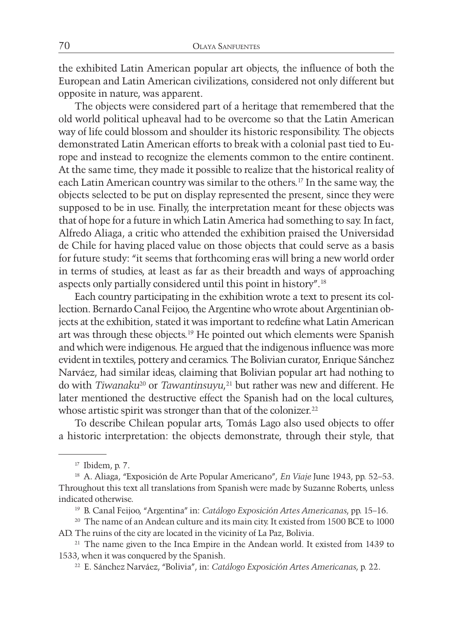the exhibited Latin American popular art objects, the influence of both the European and Latin American civilizations, considered not only different but opposite in nature, was apparent.

The objects were considered part of a heritage that remembered that the old world political upheaval had to be overcome so that the Latin American way of life could blossom and shoulder its historic responsibility. The objects demonstrated Latin American efforts to break with a colonial past tied to Europe and instead to recognize the elements common to the entire continent. At the same time, they made it possible to realize that the historical reality of each Latin American country was similar to the others.17 In the same way, the objects selected to be put on display represented the present, since they were supposed to be in use. Finally, the interpretation meant for these objects was that of hope for a future in which Latin America had something to say. In fact, Alfredo Aliaga, a critic who attended the exhibition praised the Universidad de Chile for having placed value on those objects that could serve as a basis for future study: "it seems that forthcoming eras will bring a new world order in terms of studies, at least as far as their breadth and ways of approaching aspects only partially considered until this point in history".18

Each country participating in the exhibition wrote a text to present its collection. Bernardo Canal Feijoo, the Argentine who wrote about Argentinian objects at the exhibition, stated it was important to redefine what Latin American art was through these objects.19 He pointed out which elements were Spanish and which were indigenous. He argued that the indigenous influence was more evident in textiles, pottery and ceramics. The Bolivian curator, Enrique Sánchez Narváez, had similar ideas, claiming that Bolivian popular art had nothing to do with *Tiwanaku*20 or *Tawantinsuyu*, 21 but rather was new and different. He later mentioned the destructive effect the Spanish had on the local cultures, whose artistic spirit was stronger than that of the colonizer.<sup>22</sup>

To describe Chilean popular arts, Tomás Lago also used objects to offer a historic interpretation: the objects demonstrate, through their style, that

<sup>17</sup> Ibidem, p. 7.

<sup>18</sup> A. Aliaga, "Exposición de Arte Popular Americano", *En Viaje* June 1943, pp. 52–53. Throughout this text all translations from Spanish were made by Suzanne Roberts, unless indicated otherwise.

<sup>19</sup> B. Canal Feijoo, "Argentina" in: *Catálogo Exposición Artes Americanas*, pp. 15–16.

<sup>20</sup> The name of an Andean culture and its main city. It existed from 1500 BCE to 1000 AD. The ruins of the city are located in the vicinity of La Paz, Bolivia.

<sup>&</sup>lt;sup>21</sup> The name given to the Inca Empire in the Andean world. It existed from 1439 to 1533, when it was conquered by the Spanish.

<sup>22</sup> E. Sánchez Narváez, "Bolivia", in: *Catálogo Exposición Artes Americanas*, p. 22.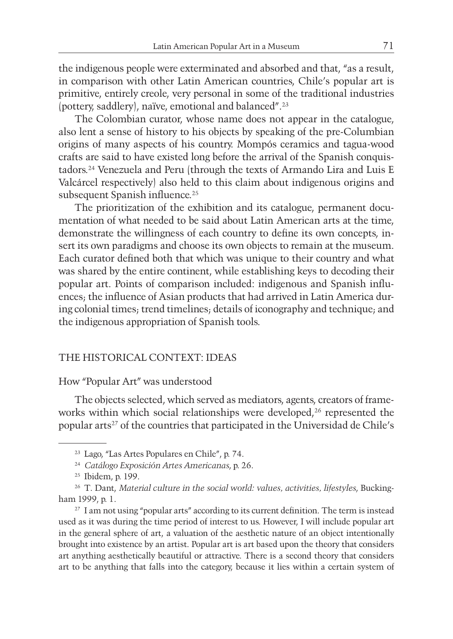the indigenous people were exterminated and absorbed and that, "as a result, in comparison with other Latin American countries, Chile's popular art is primitive, entirely creole, very personal in some of the traditional industries (pottery, saddlery), naïve, emotional and balanced".23

The Colombian curator, whose name does not appear in the catalogue, also lent a sense of history to his objects by speaking of the pre-Columbian origins of many aspects of his country. Mompós ceramics and tagua-wood crafts are said to have existed long before the arrival of the Spanish conquistadors.24 Venezuela and Peru (through the texts of Armando Lira and Luis E Valcárcel respectively) also held to this claim about indigenous origins and subsequent Spanish influence.<sup>25</sup>

The prioritization of the exhibition and its catalogue, permanent documentation of what needed to be said about Latin American arts at the time, demonstrate the willingness of each country to define its own concepts, insert its own paradigms and choose its own objects to remain at the museum. Each curator defined both that which was unique to their country and what was shared by the entire continent, while establishing keys to decoding their popular art. Points of comparison included: indigenous and Spanish influences; the influence of Asian products that had arrived in Latin America during colonial times; trend timelines; details of iconography and technique; and the indigenous appropriation of Spanish tools.

## THE HISTORICAL CONTEXT: IDEAS

#### How "Popular Art" was understood

The objects selected, which served as mediators, agents, creators of frameworks within which social relationships were developed,<sup>26</sup> represented the popular arts<sup>27</sup> of the countries that participated in the Universidad de Chile's

<sup>23</sup> Lago, "Las Artes Populares en Chile", p. 74.

<sup>24</sup> *Catálogo Exposición Artes Americanas*, p. 26.

<sup>25</sup> Ibidem, p. 199.

<sup>26</sup> T. Dant, *Material culture in the social world: values, activities, lifestyles*, Buckingham 1999, p. 1.

<sup>&</sup>lt;sup>27</sup> I am not using "popular arts" according to its current definition. The term is instead used as it was during the time period of interest to us. However, I will include popular art in the general sphere of art, a valuation of the aesthetic nature of an object intentionally brought into existence by an artist. Popular art is art based upon the theory that considers art anything aesthetically beautiful or attractive. There is a second theory that considers art to be anything that falls into the category, because it lies within a certain system of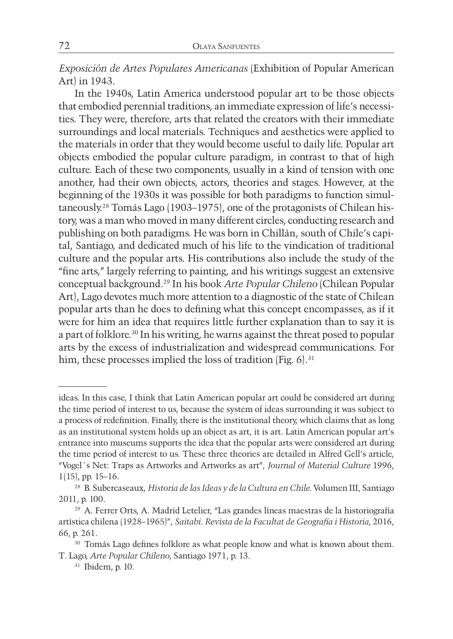*Exposición de Artes Populares Americanas* (Exhibition of Popular American Art) in 1943.

In the 1940s, Latin America understood popular art to be those objects that embodied perennial traditions, an immediate expression of life's necessities. They were, therefore, arts that related the creators with their immediate surroundings and local materials. Techniques and aesthetics were applied to the materials in order that they would become useful to daily life. Popular art objects embodied the popular culture paradigm, in contrast to that of high culture. Each of these two components, usually in a kind of tension with one another, had their own objects, actors, theories and stages. However, at the beginning of the 1930s it was possible for both paradigms to function simultaneously.28 Tomás Lago (1903–1975), one of the protagonists of Chilean history, was a man who moved in many different circles, conducting research and publishing on both paradigms. He was born in Chillán, south of Chile's capital, Santiago, and dedicated much of his life to the vindication of traditional culture and the popular arts. His contributions also include the study of the "fine arts," largely referring to painting, and his writings suggest an extensive conceptual background.29 In his book *Arte Popular Chileno* (Chilean Popular Art), Lago devotes much more attention to a diagnostic of the state of Chilean popular arts than he does to defining what this concept encompasses, as if it were for him an idea that requires little further explanation than to say it is a part of folklore.30 In his writing, he warns against the threat posed to popular arts by the excess of industrialization and widespread communications. For him, these processes implied the loss of tradition (Fig. 6).<sup>31</sup>

ideas. In this case, I think that Latin American popular art could be considered art during the time period of interest to us, because the system of ideas surrounding it was subject to a process of redefinition. Finally, there is the institutional theory, which claims that as long as an institutional system holds up an object as art, it is art. Latin American popular art's entrance into museums supports the idea that the popular arts were considered art during the time period of interest to us. These three theories are detailed in Alfred Gell's article, "Vogel´s Net: Traps as Artworks and Artworks as art", *Journal of Material Culture* 1996, 1(15), pp. 15–16.

<sup>28</sup> B. Subercaseaux, *Historia de las Ideas y de la Cultura en Chile.* Volumen III, Santiago 2011, p. 100.

<sup>29</sup> A. Ferrer Orts, A. Madrid Letelier, "Las grandes líneas maestras de la historiografía artística chilena (1928–1965)", *Saitabi. Revista de la Facultat de Geografía i Historia*, 2016, 66, p. 261.

<sup>&</sup>lt;sup>30</sup> Tomás Lago defines folklore as what people know and what is known about them. T. Lago, *Arte Popular Chileno*, Santiago 1971, p. 13.

<sup>31</sup> Ibidem, p. 10.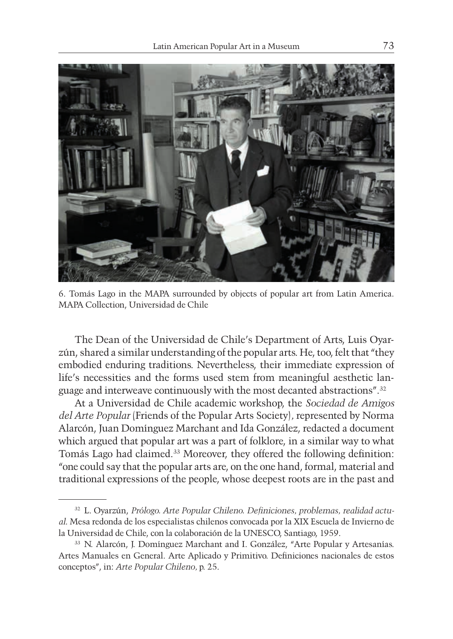

6. Tomás Lago in the MAPA surrounded by objects of popular art from Latin America. MAPA Collection, Universidad de Chile

The Dean of the Universidad de Chile's Department of Arts, Luis Oyarzún, shared a similar understanding of the popular arts. He, too, felt that "they embodied enduring traditions. Nevertheless, their immediate expression of life's necessities and the forms used stem from meaningful aesthetic language and interweave continuously with the most decanted abstractions".32

At a Universidad de Chile academic workshop, the *Sociedad de Amigos del Arte Popular* (Friends of the Popular Arts Society)*,* represented by Norma Alarcón, Juan Domínguez Marchant and Ida González, redacted a document which argued that popular art was a part of folklore, in a similar way to what Tomás Lago had claimed.33 Moreover, they offered the following definition: "one could say that the popular arts are, on the one hand, formal, material and traditional expressions of the people, whose deepest roots are in the past and

<sup>32</sup> L. Oyarzún, *Prólogo. Arte Popular Chileno. Definiciones, problemas, realidad actual*. Mesa redonda de los especialistas chilenos convocada por la XIX Escuela de Invierno de la Universidad de Chile, con la colaboración de la UNESCO, Santiago, 1959.

<sup>33</sup> N. Alarcón, J. Domínguez Marchant and I. González, "Arte Popular y Artesanías. Artes Manuales en General. Arte Aplicado y Primitivo. Definiciones nacionales de estos conceptos", in: *Arte Popular Chileno,* p. 25.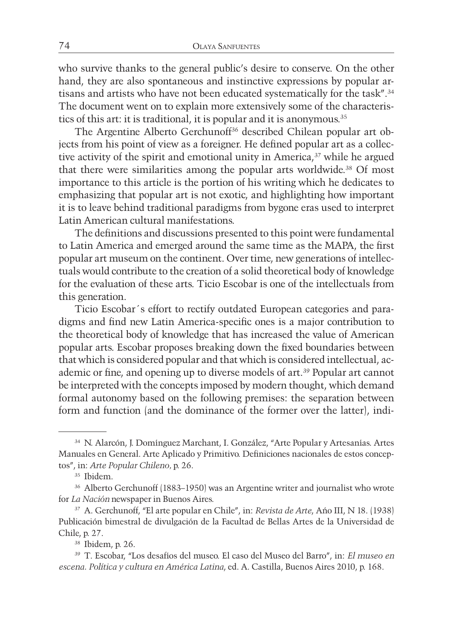who survive thanks to the general public's desire to conserve. On the other hand, they are also spontaneous and instinctive expressions by popular artisans and artists who have not been educated systematically for the task".34 The document went on to explain more extensively some of the characteristics of this art: it is traditional, it is popular and it is anonymous.<sup>35</sup>

The Argentine Alberto Gerchunoff<sup>36</sup> described Chilean popular art objects from his point of view as a foreigner. He defined popular art as a collective activity of the spirit and emotional unity in America, $37$  while he argued that there were similarities among the popular arts worldwide.38 Of most importance to this article is the portion of his writing which he dedicates to emphasizing that popular art is not exotic, and highlighting how important it is to leave behind traditional paradigms from bygone eras used to interpret Latin American cultural manifestations.

The definitions and discussions presented to this point were fundamental to Latin America and emerged around the same time as the MAPA, the first popular art museum on the continent. Over time, new generations of intellectuals would contribute to the creation of a solid theoretical body of knowledge for the evaluation of these arts. Ticio Escobar is one of the intellectuals from this generation.

Ticio Escobar´s effort to rectify outdated European categories and paradigms and find new Latin America-specific ones is a major contribution to the theoretical body of knowledge that has increased the value of American popular arts. Escobar proposes breaking down the fixed boundaries between that which is considered popular and that which is considered intellectual, academic or fine, and opening up to diverse models of art.39 Popular art cannot be interpreted with the concepts imposed by modern thought, which demand formal autonomy based on the following premises: the separation between form and function (and the dominance of the former over the latter), indi-

<sup>34</sup> N. Alarcón, J. Domínguez Marchant, I. González, "Arte Popular y Artesanías. Artes Manuales en General. Arte Aplicado y Primitivo. Definiciones nacionales de estos conceptos", in: *Arte Popular Chileno,* p. 26.

<sup>35</sup> Ibidem.

<sup>36</sup> Alberto Gerchunoff (1883–1950) was an Argentine writer and journalist who wrote for *La Nación* newspaper in Buenos Aires.

<sup>37</sup> A. Gerchunoff, "El arte popular en Chile", in: *Revista de Arte*, Año III, N 18. (1938) Publicación bimestral de divulgación de la Facultad de Bellas Artes de la Universidad de Chile, p. 27.

<sup>38</sup> Ibidem, p. 26.

<sup>39</sup> T. Escobar, "Los desafíos del museo. El caso del Museo del Barro", in: *El museo en escena. Política y cultura en América Latina*, ed. A. Castilla, Buenos Aires 2010, p. 168.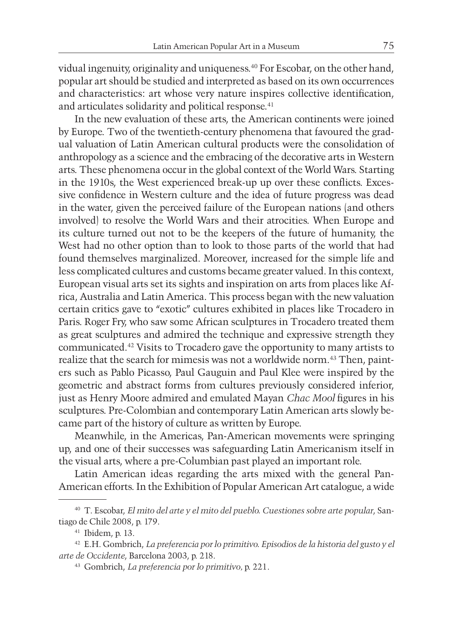vidual ingenuity, originality and uniqueness.40 For Escobar, on the other hand, popular art should be studied and interpreted as based on its own occurrences and characteristics: art whose very nature inspires collective identification, and articulates solidarity and political response.<sup>41</sup>

In the new evaluation of these arts, the American continents were joined by Europe. Two of the twentieth-century phenomena that favoured the gradual valuation of Latin American cultural products were the consolidation of anthropology as a science and the embracing of the decorative arts in Western arts. These phenomena occur in the global context of the World Wars. Starting in the 1910s, the West experienced break-up up over these conflicts. Excessive confidence in Western culture and the idea of future progress was dead in the water, given the perceived failure of the European nations (and others involved) to resolve the World Wars and their atrocities. When Europe and its culture turned out not to be the keepers of the future of humanity, the West had no other option than to look to those parts of the world that had found themselves marginalized. Moreover, increased for the simple life and less complicated cultures and customs became greater valued. In this context, European visual arts set its sights and inspiration on arts from places like Africa, Australia and Latin America. This process began with the new valuation certain critics gave to "exotic" cultures exhibited in places like Trocadero in Paris. Roger Fry, who saw some African sculptures in Trocadero treated them as great sculptures and admired the technique and expressive strength they communicated.42 Visits to Trocadero gave the opportunity to many artists to realize that the search for mimesis was not a worldwide norm.<sup>43</sup> Then, painters such as Pablo Picasso, Paul Gauguin and Paul Klee were inspired by the geometric and abstract forms from cultures previously considered inferior, just as Henry Moore admired and emulated Mayan *Chac Mool* figures in his sculptures. Pre-Colombian and contemporary Latin American arts slowly became part of the history of culture as written by Europe.

Meanwhile, in the Americas, Pan-American movements were springing up, and one of their successes was safeguarding Latin Americanism itself in the visual arts, where a pre-Columbian past played an important role.

Latin American ideas regarding the arts mixed with the general Pan-American efforts. In the Exhibition of Popular American Art catalogue, a wide

<sup>40</sup> T. Escobar, *El mito del arte y el mito del pueblo. Cuestiones sobre arte popular*, Santiago de Chile 2008, p. 179.

<sup>41</sup> Ibidem, p. 13.

<sup>42</sup> E.H. Gombrich, *La preferencia por lo primitivo. Episodios de la historia del gusto y el arte de Occidente*, Barcelona 2003, p. 218.

<sup>43</sup> Gombrich, *La preferencia por lo primitivo,* p. 221.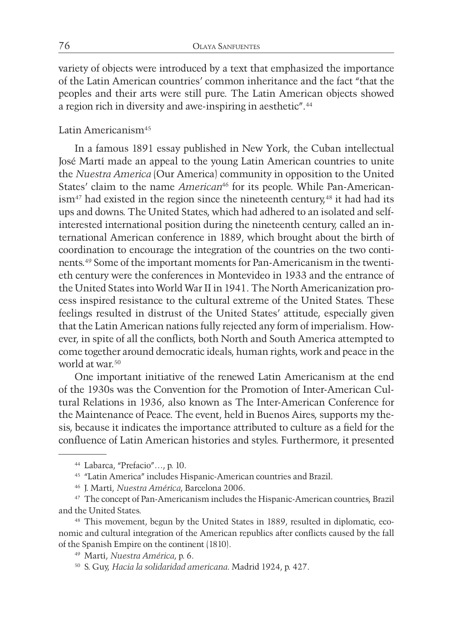variety of objects were introduced by a text that emphasized the importance of the Latin American countries' common inheritance and the fact "that the peoples and their arts were still pure. The Latin American objects showed a region rich in diversity and awe-inspiring in aesthetic".44

## Latin Americanism45

In a famous 1891 essay published in New York, the Cuban intellectual José Martí made an appeal to the young Latin American countries to unite the *Nuestra America* (Our America) community in opposition to the United States' claim to the name *American*<sup>46</sup> for its people. While Pan-American- $\lim^{47}$  had existed in the region since the nineteenth century,<sup>48</sup> it had had its ups and downs. The United States, which had adhered to an isolated and selfinterested international position during the nineteenth century, called an international American conference in 1889, which brought about the birth of coordination to encourage the integration of the countries on the two continents.49 Some of the important moments for Pan-Americanism in the twentieth century were the conferences in Montevideo in 1933 and the entrance of the United States into World War II in 1941. The North Americanization process inspired resistance to the cultural extreme of the United States. These feelings resulted in distrust of the United States' attitude, especially given that the Latin American nations fully rejected any form of imperialism. However, in spite of all the conflicts, both North and South America attempted to come together around democratic ideals, human rights, work and peace in the world at war.<sup>50</sup>

One important initiative of the renewed Latin Americanism at the end of the 1930s was the Convention for the Promotion of Inter-American Cultural Relations in 1936, also known as The Inter-American Conference for the Maintenance of Peace. The event, held in Buenos Aires, supports my thesis, because it indicates the importance attributed to culture as a field for the confluence of Latin American histories and styles. Furthermore, it presented

<sup>44</sup> Labarca, "Prefacio"…, p. 10.

<sup>45</sup> "Latin America" includes Hispanic-American countries and Brazil.

<sup>46</sup> J. Martí, *Nuestra América*, Barcelona 2006.

<sup>47</sup> The concept of Pan-Americanism includes the Hispanic-American countries, Brazil and the United States.

<sup>48</sup> This movement, begun by the United States in 1889, resulted in diplomatic, economic and cultural integration of the American republics after conflicts caused by the fall of the Spanish Empire on the continent (1810).

<sup>49</sup> Martí, *Nuestra América*, p. 6.

<sup>50</sup> S. Guy, *Hacia la solidaridad americana*. Madrid 1924, p. 427.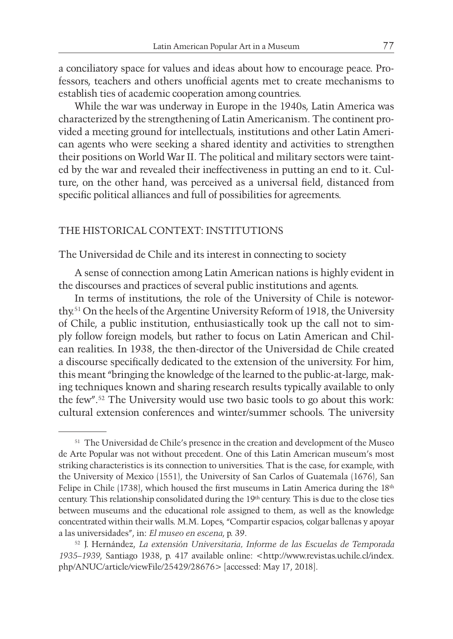a conciliatory space for values and ideas about how to encourage peace. Professors, teachers and others unofficial agents met to create mechanisms to establish ties of academic cooperation among countries.

While the war was underway in Europe in the 1940s, Latin America was characterized by the strengthening of Latin Americanism. The continent provided a meeting ground for intellectuals, institutions and other Latin American agents who were seeking a shared identity and activities to strengthen their positions on World War II. The political and military sectors were tainted by the war and revealed their ineffectiveness in putting an end to it. Culture, on the other hand, was perceived as a universal field, distanced from specific political alliances and full of possibilities for agreements.

#### THE HISTORICAL CONTEXT: INSTITUTIONS

The Universidad de Chile and its interest in connecting to society

A sense of connection among Latin American nations is highly evident in the discourses and practices of several public institutions and agents.

In terms of institutions, the role of the University of Chile is noteworthy.51 On the heels of the Argentine University Reform of 1918, the University of Chile, a public institution, enthusiastically took up the call not to simply follow foreign models, but rather to focus on Latin American and Chilean realities. In 1938, the then-director of the Universidad de Chile created a discourse specifically dedicated to the extension of the university. For him, this meant "bringing the knowledge of the learned to the public-at-large, making techniques known and sharing research results typically available to only the few".52 The University would use two basic tools to go about this work: cultural extension conferences and winter/summer schools. The university

<sup>51</sup> The Universidad de Chile's presence in the creation and development of the Museo de Arte Popular was not without precedent. One of this Latin American museum's most striking characteristics is its connection to universities. That is the case, for example, with the University of Mexico (1551), the University of San Carlos of Guatemala (1676), San Felipe in Chile (1738), which housed the first museums in Latin America during the 18th century. This relationship consolidated during the 19th century. This is due to the close ties between museums and the educational role assigned to them, as well as the knowledge concentrated within their walls. M.M. Lopes, "Compartir espacios, colgar ballenas y apoyar a las universidades", in: *El museo en escena*, p. 39.

<sup>52</sup> J. Hernández, *La extensión Universitaria, Informe de las Escuelas de Temporada*  1935–1939, Santiago 1938, p. 417 available online: <http://www.revistas.uchile.cl/index. php/ANUC/article/viewFile/25429/28676> [accessed: May 17, 2018].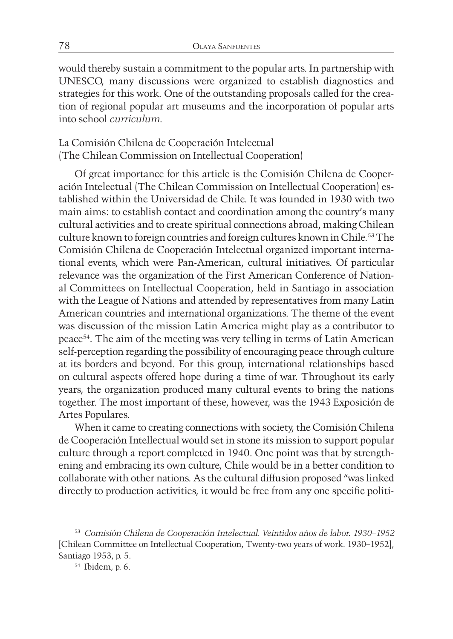would thereby sustain a commitment to the popular arts. In partnership with UNESCO, many discussions were organized to establish diagnostics and strategies for this work. One of the outstanding proposals called for the creation of regional popular art museums and the incorporation of popular arts into school *curriculum*.

La Comisión Chilena de Cooperación Intelectual (The Chilean Commission on Intellectual Cooperation)

Of great importance for this article is the Comisión Chilena de Cooperación Intelectual (The Chilean Commission on Intellectual Cooperation) established within the Universidad de Chile. It was founded in 1930 with two main aims: to establish contact and coordination among the country's many cultural activities and to create spiritual connections abroad, making Chilean culture known to foreign countries and foreign cultures known in Chile.<sup>53</sup> The Comisión Chilena de Cooperación Intelectual organized important international events, which were Pan-American, cultural initiatives. Of particular relevance was the organization of the First American Conference of National Committees on Intellectual Cooperation, held in Santiago in association with the League of Nations and attended by representatives from many Latin American countries and international organizations. The theme of the event was discussion of the mission Latin America might play as a contributor to peace54. The aim of the meeting was very telling in terms of Latin American self-perception regarding the possibility of encouraging peace through culture at its borders and beyond. For this group, international relationships based on cultural aspects offered hope during a time of war. Throughout its early years, the organization produced many cultural events to bring the nations together. The most important of these, however, was the 1943 Exposición de Artes Populares.

When it came to creating connections with society, the Comisión Chilena de Cooperación Intellectual would set in stone its mission to support popular culture through a report completed in 1940. One point was that by strengthening and embracing its own culture, Chile would be in a better condition to collaborate with other nations. As the cultural diffusion proposed "was linked directly to production activities, it would be free from any one specific politi-

<sup>53</sup> *Comisión Chilena de Cooperación Intelectual. Veintidos años de labor. 1930–1952*  [Chilean Committee on Intellectual Cooperation, Twenty-two years of work. 1930–1952], Santiago 1953, p. 5.

<sup>54</sup> Ibidem, p. 6.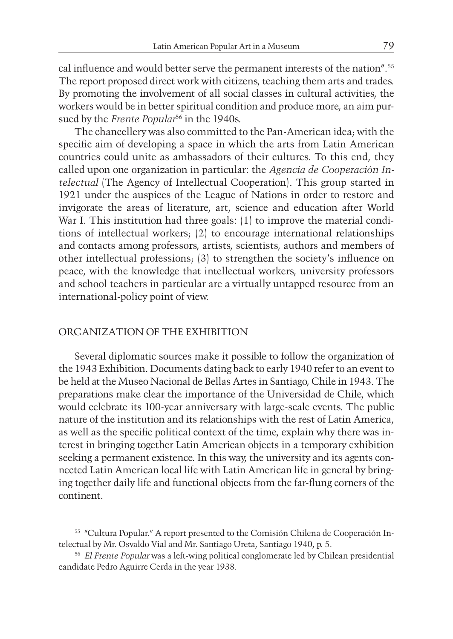cal influence and would better serve the permanent interests of the nation".<sup>55</sup> The report proposed direct work with citizens, teaching them arts and trades. By promoting the involvement of all social classes in cultural activities, the workers would be in better spiritual condition and produce more, an aim pursued by the *Frente Popular*<sup>56</sup> in the 1940s.

The chancellery was also committed to the Pan-American idea; with the specific aim of developing a space in which the arts from Latin American countries could unite as ambassadors of their cultures. To this end, they called upon one organization in particular: the *Agencia de Cooperación Intelectual* (The Agency of Intellectual Cooperation). This group started in 1921 under the auspices of the League of Nations in order to restore and invigorate the areas of literature, art, science and education after World War I. This institution had three goals: (1) to improve the material conditions of intellectual workers; (2) to encourage international relationships and contacts among professors, artists, scientists, authors and members of other intellectual professions; (3) to strengthen the society's influence on peace, with the knowledge that intellectual workers, university professors and school teachers in particular are a virtually untapped resource from an international-policy point of view.

#### ORGANIZATION OF THE EXHIBITION

Several diplomatic sources make it possible to follow the organization of the 1943 Exhibition. Documents dating back to early 1940 refer to an event to be held at the Museo Nacional de Bellas Artes in Santiago, Chile in 1943. The preparations make clear the importance of the Universidad de Chile, which would celebrate its 100-year anniversary with large-scale events. The public nature of the institution and its relationships with the rest of Latin America, as well as the specific political context of the time, explain why there was interest in bringing together Latin American objects in a temporary exhibition seeking a permanent existence. In this way, the university and its agents connected Latin American local life with Latin American life in general by bringing together daily life and functional objects from the far-flung corners of the continent.

<sup>55</sup> "Cultura Popular." A report presented to the Comisión Chilena de Cooperación Intelectual by Mr. Osvaldo Vial and Mr. Santiago Ureta, Santiago 1940, p. 5.

<sup>56</sup> *El Frente Popular* was a left-wing political conglomerate led by Chilean presidential candidate Pedro Aguirre Cerda in the year 1938.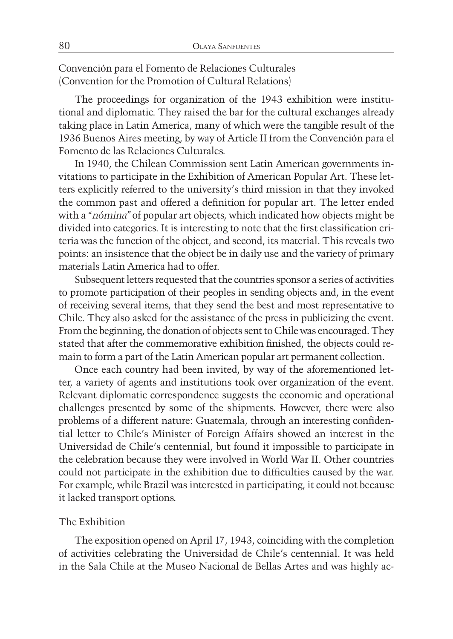Convención para el Fomento de Relaciones Culturales (Convention for the Promotion of Cultural Relations)

The proceedings for organization of the 1943 exhibition were institutional and diplomatic. They raised the bar for the cultural exchanges already taking place in Latin America, many of which were the tangible result of the 1936 Buenos Aires meeting, by way of Article II from the Convención para el Fomento de las Relaciones Culturales.

In 1940, the Chilean Commission sent Latin American governments invitations to participate in the Exhibition of American Popular Art. These letters explicitly referred to the university's third mission in that they invoked the common past and offered a definition for popular art. The letter ended with a *"nómina"* of popular art objects, which indicated how objects might be divided into categories. It is interesting to note that the first classification criteria was the function of the object, and second, its material. This reveals two points: an insistence that the object be in daily use and the variety of primary materials Latin America had to offer.

Subsequent letters requested that the countries sponsor a series of activities to promote participation of their peoples in sending objects and, in the event of receiving several items, that they send the best and most representative to Chile. They also asked for the assistance of the press in publicizing the event. From the beginning, the donation of objects sent to Chile was encouraged. They stated that after the commemorative exhibition finished, the objects could remain to form a part of the Latin American popular art permanent collection.

Once each country had been invited, by way of the aforementioned letter, a variety of agents and institutions took over organization of the event. Relevant diplomatic correspondence suggests the economic and operational challenges presented by some of the shipments. However, there were also problems of a different nature: Guatemala, through an interesting confidential letter to Chile's Minister of Foreign Affairs showed an interest in the Universidad de Chile's centennial, but found it impossible to participate in the celebration because they were involved in World War II. Other countries could not participate in the exhibition due to difficulties caused by the war. For example, while Brazil was interested in participating, it could not because it lacked transport options.

#### The Exhibition

The exposition opened on April 17, 1943, coinciding with the completion of activities celebrating the Universidad de Chile's centennial. It was held in the Sala Chile at the Museo Nacional de Bellas Artes and was highly ac-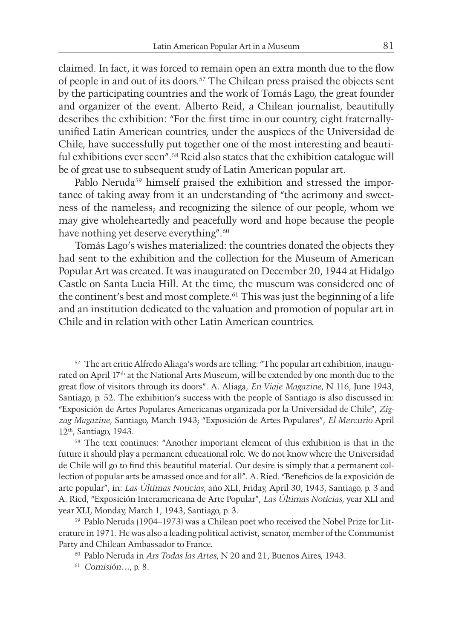claimed. In fact, it was forced to remain open an extra month due to the flow of people in and out of its doors.57 The Chilean press praised the objects sent by the participating countries and the work of Tomás Lago, the great founder and organizer of the event. Alberto Reid, a Chilean journalist, beautifully describes the exhibition: "For the first time in our country, eight fraternallyunified Latin American countries, under the auspices of the Universidad de Chile, have successfully put together one of the most interesting and beautiful exhibitions ever seen".58 Reid also states that the exhibition catalogue will be of great use to subsequent study of Latin American popular art.

Pablo Neruda<sup>59</sup> himself praised the exhibition and stressed the importance of taking away from it an understanding of "the acrimony and sweetness of the nameless; and recognizing the silence of our people, whom we may give wholeheartedly and peacefully word and hope because the people have nothing yet deserve everything".<sup>60</sup>

Tomás Lago's wishes materialized: the countries donated the objects they had sent to the exhibition and the collection for the Museum of American Popular Art was created. It was inaugurated on December 20, 1944 at Hidalgo Castle on Santa Lucia Hill. At the time, the museum was considered one of the continent's best and most complete.<sup>61</sup> This was just the beginning of a life and an institution dedicated to the valuation and promotion of popular art in Chile and in relation with other Latin American countries.

<sup>57</sup> The art critic Alfredo Aliaga's words are telling: "The popular art exhibition, inaugurated on April 17th at the National Arts Museum, will be extended by one month due to the great flow of visitors through its doors". A. Aliaga, *En Viaje Magazine*, N 116, June 1943, Santiago, p. 52. The exhibition's success with the people of Santiago is also discussed in: "Exposición de Artes Populares Americanas organizada por la Universidad de Chile", *Zigzag Magazine*, Santiago, March 1943; "Exposición de Artes Populares", *El Mercurio* April 12th, Santiago, 1943.

<sup>58</sup> The text continues: "Another important element of this exhibition is that in the future it should play a permanent educational role. We do not know where the Universidad de Chile will go to find this beautiful material. Our desire is simply that a permanent collection of popular arts be amassed once and for all". A. Ried. "Beneficios de la exposición de arte popular", in: *Las Últimas Noticias*, año XLI, Friday, April 30, 1943, Santiago, p. 3 and A. Ried, "Exposición Interamericana de Arte Popular", *Las Últimas Noticias*, year XLI and year XLI, Monday, March 1, 1943, Santiago, p. 3.

<sup>59</sup> Pablo Neruda (1904–1973) was a Chilean poet who received the Nobel Prize for Literature in 1971. He was also a leading political activist, senator, member of the Communist Party and Chilean Ambassador to France.

<sup>60</sup> Pablo Neruda in *Ars Todas las Artes*, N 20 and 21, Buenos Aires, 1943.

<sup>61</sup> *Comisión…*, p. 8.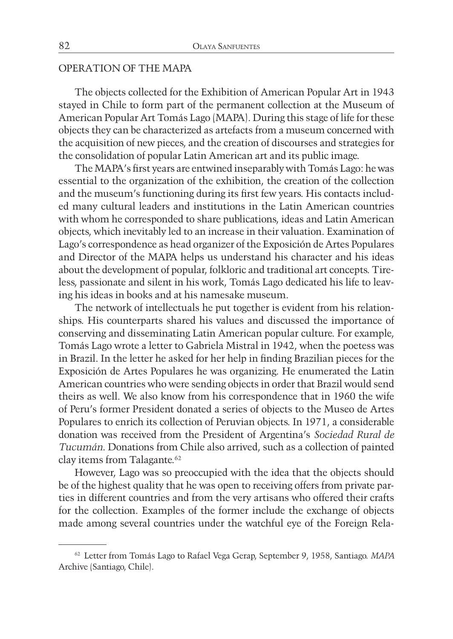## OPERATION OF THE MAPA

The objects collected for the Exhibition of American Popular Art in 1943 stayed in Chile to form part of the permanent collection at the Museum of American Popular Art Tomás Lago (MAPA). During this stage of life for these objects they can be characterized as artefacts from a museum concerned with the acquisition of new pieces, and the creation of discourses and strategies for the consolidation of popular Latin American art and its public image.

The MAPA's first years are entwined inseparably with Tomás Lago: he was essential to the organization of the exhibition, the creation of the collection and the museum's functioning during its first few years. His contacts included many cultural leaders and institutions in the Latin American countries with whom he corresponded to share publications, ideas and Latin American objects, which inevitably led to an increase in their valuation. Examination of Lago's correspondence as head organizer of the Exposición de Artes Populares and Director of the MAPA helps us understand his character and his ideas about the development of popular, folkloric and traditional art concepts. Tireless, passionate and silent in his work, Tomás Lago dedicated his life to leaving his ideas in books and at his namesake museum.

The network of intellectuals he put together is evident from his relationships. His counterparts shared his values and discussed the importance of conserving and disseminating Latin American popular culture. For example, Tomás Lago wrote a letter to Gabriela Mistral in 1942, when the poetess was in Brazil. In the letter he asked for her help in finding Brazilian pieces for the Exposición de Artes Populares he was organizing. He enumerated the Latin American countries who were sending objects in order that Brazil would send theirs as well. We also know from his correspondence that in 1960 the wife of Peru's former President donated a series of objects to the Museo de Artes Populares to enrich its collection of Peruvian objects. In 1971, a considerable donation was received from the President of Argentina's *Sociedad Rural de Tucumán*. Donations from Chile also arrived, such as a collection of painted clay items from Talagante.<sup>62</sup>

However, Lago was so preoccupied with the idea that the objects should be of the highest quality that he was open to receiving offers from private parties in different countries and from the very artisans who offered their crafts for the collection. Examples of the former include the exchange of objects made among several countries under the watchful eye of the Foreign Rela-

<sup>62</sup> Letter from Tomás Lago to Rafael Vega Gerap, September 9, 1958, Santiago. *MAPA* Archive (Santiago, Chile).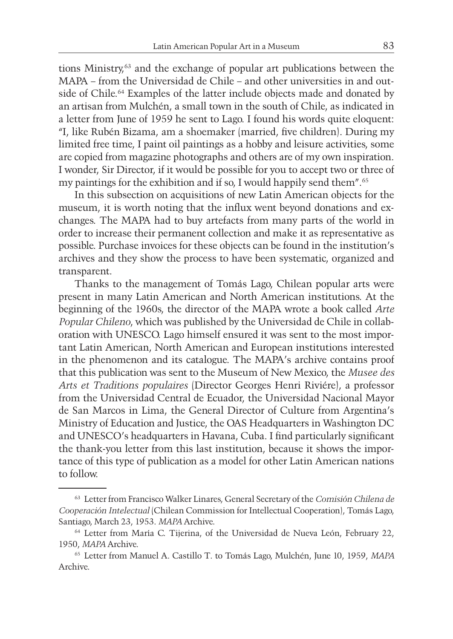tions Ministry,63 and the exchange of popular art publications between the MAPA – from the Universidad de Chile – and other universities in and outside of Chile.64 Examples of the latter include objects made and donated by an artisan from Mulchén, a small town in the south of Chile, as indicated in a letter from June of 1959 he sent to Lago. I found his words quite eloquent: "I, like Rubén Bizama, am a shoemaker (married, five children). During my limited free time, I paint oil paintings as a hobby and leisure activities, some are copied from magazine photographs and others are of my own inspiration. I wonder, Sir Director, if it would be possible for you to accept two or three of my paintings for the exhibition and if so, I would happily send them".65

In this subsection on acquisitions of new Latin American objects for the museum, it is worth noting that the influx went beyond donations and exchanges. The MAPA had to buy artefacts from many parts of the world in order to increase their permanent collection and make it as representative as possible. Purchase invoices for these objects can be found in the institution's archives and they show the process to have been systematic, organized and transparent.

Thanks to the management of Tomás Lago, Chilean popular arts were present in many Latin American and North American institutions. At the beginning of the 1960s, the director of the MAPA wrote a book called *Arte Popular Chileno*, which was published by the Universidad de Chile in collaboration with UNESCO. Lago himself ensured it was sent to the most important Latin American, North American and European institutions interested in the phenomenon and its catalogue. The MAPA's archive contains proof that this publication was sent to the Museum of New Mexico, the *Musee des Arts et Traditions populaires* (Director Georges Henri Riviére), a professor from the Universidad Central de Ecuador, the Universidad Nacional Mayor de San Marcos in Lima, the General Director of Culture from Argentina's Ministry of Education and Justice, the OAS Headquarters in Washington DC and UNESCO's headquarters in Havana, Cuba. I find particularly significant the thank-you letter from this last institution, because it shows the importance of this type of publication as a model for other Latin American nations to follow.

<sup>63</sup> Letter from Francisco Walker Linares, General Secretary of the *Comisión Chilena de Cooperación Intelectual* (Chilean Commission for Intellectual Cooperation), Tomás Lago, Santiago, March 23, 1953. *MAPA* Archive.

<sup>64</sup> Letter from María C. Tijerina, of the Universidad de Nueva León, February 22, 1950, *MAPA* Archive.

<sup>65</sup> Letter from Manuel A. Castillo T. to Tomás Lago, Mulchén, June 10, 1959, *MAPA* Archive.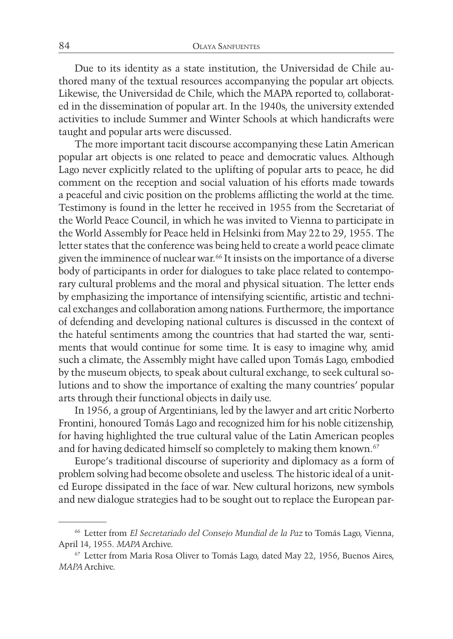Due to its identity as a state institution, the Universidad de Chile authored many of the textual resources accompanying the popular art objects. Likewise, the Universidad de Chile, which the MAPA reported to, collaborated in the dissemination of popular art. In the 1940s, the university extended activities to include Summer and Winter Schools at which handicrafts were taught and popular arts were discussed.

The more important tacit discourse accompanying these Latin American popular art objects is one related to peace and democratic values. Although Lago never explicitly related to the uplifting of popular arts to peace, he did comment on the reception and social valuation of his efforts made towards a peaceful and civic position on the problems afflicting the world at the time. Testimony is found in the letter he received in 1955 from the Secretariat of the World Peace Council, in which he was invited to Vienna to participate in the World Assembly for Peace held in Helsinki from May 22to 29, 1955. The letter states that the conference was being held to create a world peace climate given the imminence of nuclear war.66 It insists on the importance of a diverse body of participants in order for dialogues to take place related to contemporary cultural problems and the moral and physical situation. The letter ends by emphasizing the importance of intensifying scientific, artistic and technical exchanges and collaboration among nations. Furthermore, the importance of defending and developing national cultures is discussed in the context of the hateful sentiments among the countries that had started the war, sentiments that would continue for some time. It is easy to imagine why, amid such a climate, the Assembly might have called upon Tomás Lago, embodied by the museum objects, to speak about cultural exchange, to seek cultural solutions and to show the importance of exalting the many countries' popular arts through their functional objects in daily use.

In 1956, a group of Argentinians, led by the lawyer and art critic Norberto Frontini, honoured Tomás Lago and recognized him for his noble citizenship, for having highlighted the true cultural value of the Latin American peoples and for having dedicated himself so completely to making them known.<sup>67</sup>

Europe's traditional discourse of superiority and diplomacy as a form of problem solving had become obsolete and useless. The historic ideal of a united Europe dissipated in the face of war. New cultural horizons, new symbols and new dialogue strategies had to be sought out to replace the European par-

<sup>66</sup> Letter from *El Secretariado del Consejo Mundial de la Paz* to Tomás Lago, Vienna, April 14, 1955. *MAPA* Archive.

<sup>67</sup> Letter from María Rosa Oliver to Tomás Lago, dated May 22, 1956, Buenos Aires, *MAPA* Archive.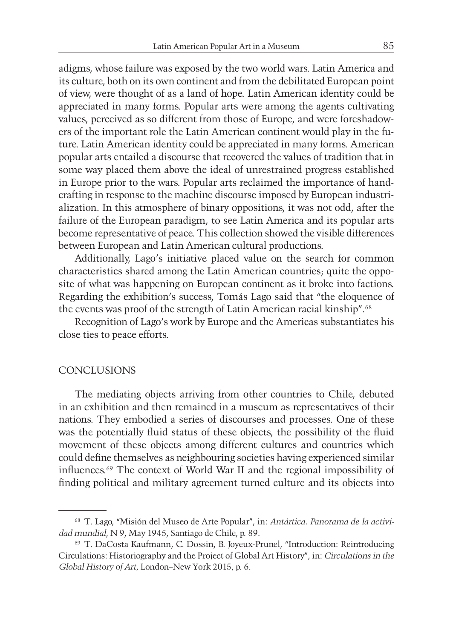adigms, whose failure was exposed by the two world wars. Latin America and its culture, both on its own continent and from the debilitated European point of view, were thought of as a land of hope. Latin American identity could be appreciated in many forms. Popular arts were among the agents cultivating values, perceived as so different from those of Europe, and were foreshadowers of the important role the Latin American continent would play in the future. Latin American identity could be appreciated in many forms. American popular arts entailed a discourse that recovered the values of tradition that in some way placed them above the ideal of unrestrained progress established in Europe prior to the wars. Popular arts reclaimed the importance of handcrafting in response to the machine discourse imposed by European industrialization. In this atmosphere of binary oppositions, it was not odd, after the failure of the European paradigm, to see Latin America and its popular arts become representative of peace. This collection showed the visible differences between European and Latin American cultural productions.

Additionally, Lago's initiative placed value on the search for common characteristics shared among the Latin American countries; quite the opposite of what was happening on European continent as it broke into factions. Regarding the exhibition's success, Tomás Lago said that "the eloquence of the events was proof of the strength of Latin American racial kinship".<sup>68</sup>

Recognition of Lago's work by Europe and the Americas substantiates his close ties to peace efforts.

#### CONCLUSIONS

The mediating objects arriving from other countries to Chile, debuted in an exhibition and then remained in a museum as representatives of their nations. They embodied a series of discourses and processes. One of these was the potentially fluid status of these objects, the possibility of the fluid movement of these objects among different cultures and countries which could define themselves as neighbouring societies having experienced similar influences.69 The context of World War II and the regional impossibility of finding political and military agreement turned culture and its objects into

<sup>68</sup> T. Lago, "Misión del Museo de Arte Popular", in: *Antártica. Panorama de la actividad mundial*, N 9, May 1945, Santiago de Chile, p. 89.

<sup>69</sup> T. DaCosta Kaufmann, C. Dossin, B. Joyeux-Prunel, "Introduction: Reintroducing Circulations: Historiography and the Project of Global Art History", in: *Circulations in the Global History of Art*, London–New York 2015, p. 6.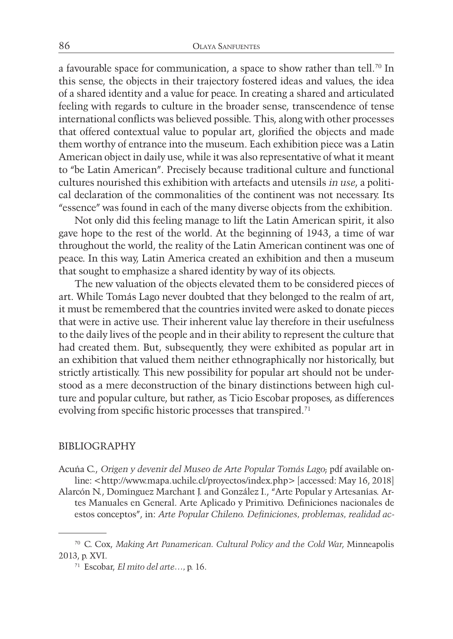a favourable space for communication, a space to show rather than tell.<sup>70</sup> In this sense, the objects in their trajectory fostered ideas and values, the idea of a shared identity and a value for peace. In creating a shared and articulated feeling with regards to culture in the broader sense, transcendence of tense international conflicts was believed possible. This, along with other processes that offered contextual value to popular art, glorified the objects and made them worthy of entrance into the museum. Each exhibition piece was a Latin American object in daily use, while it was also representative of what it meant to "be Latin American". Precisely because traditional culture and functional cultures nourished this exhibition with artefacts and utensils *in use*, a political declaration of the commonalities of the continent was not necessary. Its "essence" was found in each of the many diverse objects from the exhibition.

Not only did this feeling manage to lift the Latin American spirit, it also gave hope to the rest of the world. At the beginning of 1943, a time of war throughout the world, the reality of the Latin American continent was one of peace. In this way, Latin America created an exhibition and then a museum that sought to emphasize a shared identity by way of its objects.

The new valuation of the objects elevated them to be considered pieces of art. While Tomás Lago never doubted that they belonged to the realm of art, it must be remembered that the countries invited were asked to donate pieces that were in active use. Their inherent value lay therefore in their usefulness to the daily lives of the people and in their ability to represent the culture that had created them. But, subsequently, they were exhibited as popular art in an exhibition that valued them neither ethnographically nor historically, but strictly artistically. This new possibility for popular art should not be understood as a mere deconstruction of the binary distinctions between high culture and popular culture, but rather, as Ticio Escobar proposes, as differences evolving from specific historic processes that transpired.<sup>71</sup>

#### BIBLIOGRAPHY

- Acuña C., *Origen y devenir del Museo de Arte Popular Tomás Lago*; pdf available online: <http://www.mapa.uchile.cl/proyectos/index.php> [accessed: May 16, 2018]
- Alarcón N., Domínguez Marchant J. and González I., "Arte Popular y Artesanías. Artes Manuales en General. Arte Aplicado y Primitivo. Definiciones nacionales de estos conceptos", in: *Arte Popular Chileno. Definiciones, problemas, realidad ac-*

<sup>70</sup> C. Cox, *Making Art Panamerican. Cultural Policy and the Cold War*, Minneapolis 2013, p. XVI.

<sup>71</sup> Escobar, *El mito del arte…,* p. 16.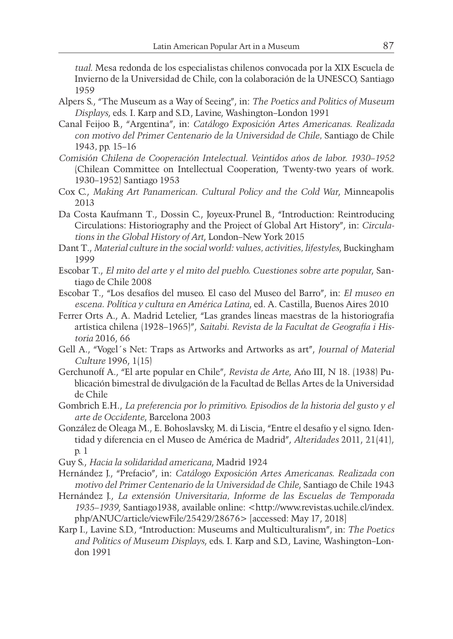*tual*. Mesa redonda de los especialistas chilenos convocada por la XIX Escuela de Invierno de la Universidad de Chile, con la colaboración de la UNESCO, Santiago 1959

- Alpers S., "The Museum as a Way of Seeing", in: *The Poetics and Politics of Museum Displays*, eds. I. Karp and S.D., Lavine, Washington–London 1991
- Canal Feijoo B., "Argentina", in: *Catálogo Exposición Artes Americanas. Realizada con motivo del Primer Centenario de la Universidad de Chile,* Santiago de Chile 1943*,* pp. 15–16
- *Comisión Chilena de Cooperación Intelectual. Veintidos años de labor. 1930–1952*  (Chilean Committee on Intellectual Cooperation, Twenty-two years of work. 1930–1952) Santiago 1953
- Cox C., *Making Art Panamerican. Cultural Policy and the Cold War*, Minneapolis 2013
- Da Costa Kaufmann T., Dossin C., Joyeux-Prunel B., "Introduction: Reintroducing Circulations: Historiography and the Project of Global Art History", in: *Circulations in the Global History of Art*, London–New York 2015
- Dant T., *Material culture in the social world: values, activities, lifestyles*, Buckingham 1999
- Escobar T., *El mito del arte y el mito del pueblo. Cuestiones sobre arte popular*, Santiago de Chile 2008
- Escobar T., "Los desafíos del museo. El caso del Museo del Barro", in: *El museo en escena. Política y cultura en América Latina*, ed. A. Castilla, Buenos Aires 2010
- Ferrer Orts A., A. Madrid Letelier, "Las grandes líneas maestras de la historiografía artística chilena (1928–1965)", *Saitabi. Revista de la Facultat de Geografía i Historia* 2016, 66
- Gell A., "Vogel´s Net: Traps as Artworks and Artworks as art", *Journal of Material Culture* 1996, 1(15)
- Gerchunoff A., "El arte popular en Chile", *Revista de Arte*, Año III, N 18. (1938) Publicación bimestral de divulgación de la Facultad de Bellas Artes de la Universidad de Chile
- Gombrich E.H., *La preferencia por lo primitivo. Episodios de la historia del gusto y el arte de Occidente*, Barcelona 2003
- González de Oleaga M., E. Bohoslavsky, M. di Liscia, "Entre el desafío y el signo. Identidad y diferencia en el Museo de América de Madrid", *Alteridades* 2011, 21(41), p. 1
- Guy S., *Hacia la solidaridad americana*, Madrid 1924
- Hernández J., "Prefacio", in: *Catálogo Exposición Artes Americanas. Realizada con motivo del Primer Centenario de la Universidad de Chile*, Santiago de Chile 1943
- Hernández J., *La extensión Universitaria, Informe de las Escuelas de Temporada 1935–1939*, Santiago1938, available online: <http://www.revistas.uchile.cl/index. php/ANUC/article/viewFile/25429/28676> [accessed: May 17, 2018]
- Karp I., Lavine S.D., "Introduction: Museums and Multiculturalism", in: *The Poetics and Politics of Museum Displays*, eds. I. Karp and S.D., Lavine, Washington–London 1991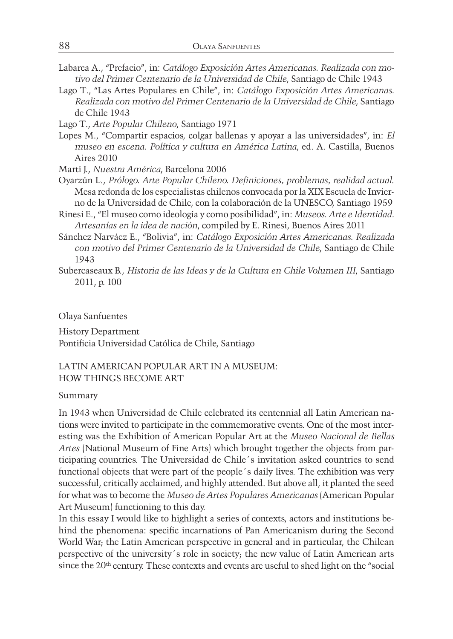- Labarca A., "Prefacio", in: *Catálogo Exposición Artes Americanas. Realizada con motivo del Primer Centenario de la Universidad de Chile*, Santiago de Chile 1943
- Lago T., "Las Artes Populares en Chile", in: *Catálogo Exposición Artes Americanas. Realizada con motivo del Primer Centenario de la Universidad de Chile*, Santiago de Chile 1943

Lago T., *Arte Popular Chileno*, Santiago 1971

- Lopes M., "Compartir espacios, colgar ballenas y apoyar a las universidades", in: *El museo en escena. Política y cultura en América Latina*, ed. A. Castilla, Buenos Aires 2010
- Martí J., *Nuestra América*, Barcelona 2006
- Oyarzún L., *Prólogo. Arte Popular Chileno. Definiciones, problemas, realidad actual*. Mesa redonda de los especialistas chilenos convocada por la XIX Escuela de Invierno de la Universidad de Chile, con la colaboración de la UNESCO, Santiago 1959
- Rinesi E., "El museo como ideología y como posibilidad", in: *Museos. Arte e Identidad. Artesanías en la idea de nación*, compiled by E. Rinesi, Buenos Aires 2011
- Sánchez Narváez E., "Bolivia", in: *Catálogo Exposición Artes Americanas. Realizada con motivo del Primer Centenario de la Universidad de Chile*, Santiago de Chile 1943
- Subercaseaux B., *Historia de las Ideas y de la Cultura en Chile Volumen III*, Santiago 2011, p. 100

Olaya Sanfuentes

History Department Pontificia Universidad Católica de Chile, Santiago

#### LATIN AMERICAN POPULAR ART IN A MUSEUM: HOW THINGS BECOME ART

#### Summary

In 1943 when Universidad de Chile celebrated its centennial all Latin American nations were invited to participate in the commemorative events. One of the most interesting was the Exhibition of American Popular Art at the *Museo Nacional de Bellas Artes* (National Museum of Fine Arts) which brought together the objects from participating countries. The Universidad de Chile´s invitation asked countries to send functional objects that were part of the people´s daily lives. The exhibition was very successful, critically acclaimed, and highly attended. But above all, it planted the seed for what was to become the *Museo de Artes Populares Americanas* (American Popular Art Museum) functioning to this day.

In this essay I would like to highlight a series of contexts, actors and institutions behind the phenomena: specific incarnations of Pan Americanism during the Second World War; the Latin American perspective in general and in particular, the Chilean perspective of the university´s role in society; the new value of Latin American arts since the 20<sup>th</sup> century. These contexts and events are useful to shed light on the "social